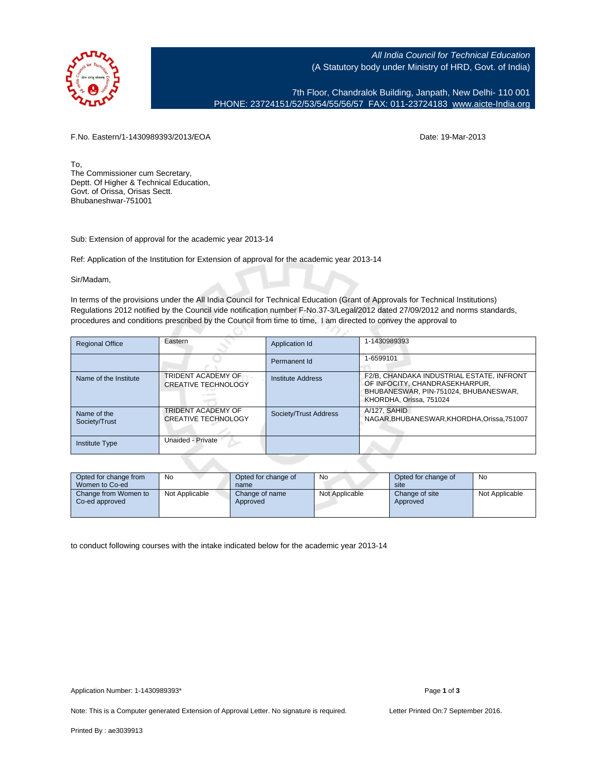

All India Council for Technical Education (A Statutory body under Ministry of HRD, Govt. of India)

7th Floor, Chandralok Building, Janpath, New Delhi- 110 001 PHONE: 23724151/52/53/54/55/56/57 FAX: 011-23724183 [www.aicte-India.org](http://www.aicte-India.org)

F.No. Eastern/1-1430989393/2013/EOA Date: 19-Mar-2013

To, The Commissioner cum Secretary, Deptt. Of Higher & Technical Education, Govt. of Orissa, Orisas Sectt. Bhubaneshwar-751001

Sub: Extension of approval for the academic year 2013-14

Ref: Application of the Institution for Extension of approval for the academic year 2013-14

G

Sir/Madam,

In terms of the provisions under the All India Council for Technical Education (Grant of Approvals for Technical Institutions) Regulations 2012 notified by the Council vide notification number F-No.37-3/Legal/2012 dated 27/09/2012 and norms standards, procedures and conditions prescribed by the Council from time to time, I am directed to convey the approval to

| <b>Regional Office</b>       | Eastern                                          | Application Id        | 1-1430989393                                                                                                                                    |
|------------------------------|--------------------------------------------------|-----------------------|-------------------------------------------------------------------------------------------------------------------------------------------------|
|                              |                                                  | Permanent Id          | 1-6599101                                                                                                                                       |
| Name of the Institute        | TRIDENT ACADEMY OF<br><b>CREATIVE TECHNOLOGY</b> | Institute Address     | F2/B, CHANDAKA INDUSTRIAL ESTATE, INFRONT<br>OF INFOCITY, CHANDRASEKHARPUR,<br>BHUBANESWAR, PIN-751024, BHUBANESWAR,<br>KHORDHA, Orissa, 751024 |
| Name of the<br>Society/Trust | TRIDENT ACADEMY OF<br><b>CREATIVE TECHNOLOGY</b> | Society/Trust Address | A/127, SAHID<br>NAGAR.BHUBANESWAR.KHORDHA.Orissa.751007                                                                                         |
| <b>Institute Type</b>        | Unaided - Private                                |                       |                                                                                                                                                 |

| Opted for change from<br>Women to Co-ed | No             | Opted for change of<br>name | No             | Opted for change of<br>site | No             |
|-----------------------------------------|----------------|-----------------------------|----------------|-----------------------------|----------------|
| Change from Women to<br>Co-ed approved  | Not Applicable | Change of name<br>Approved  | Not Applicable | Change of site<br>Approved  | Not Applicable |

to conduct following courses with the intake indicated below for the academic year 2013-14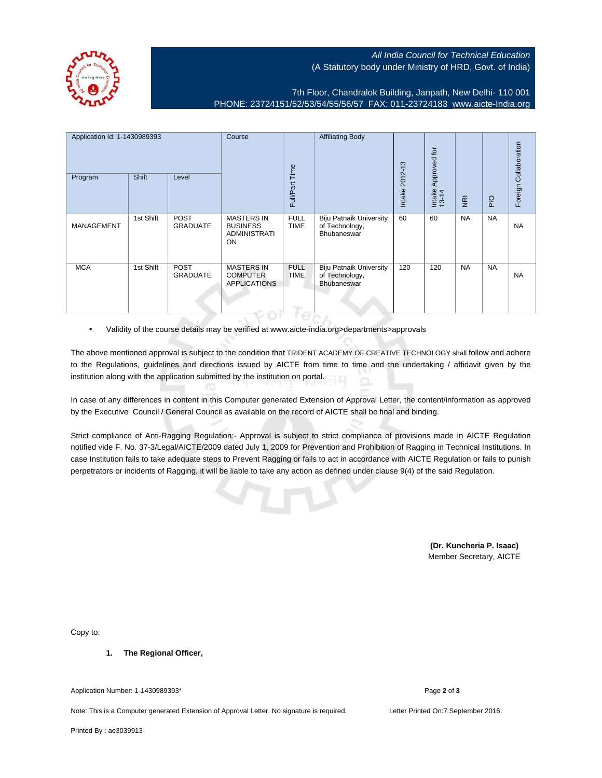All India Council for Technical Education (A Statutory body under Ministry of HRD, Govt. of India)



7th Floor, Chandralok Building, Janpath, New Delhi- 110 001 PHONE: 23724151/52/53/54/55/56/57 FAX: 011-23724183 [www.aicte-India.org](http://www.aicte-India.org)

| Application Id: 1-1430989393<br>Program | Shift     | Level                          | Course                                                            | Full/Part Time                               | <b>Affiliating Body</b>                                                | 2012-13<br>Intake | Approved for<br>Intake<br>13-14 | $\overline{g}$ | <b>PIO</b> | Foreign Collaboration |
|-----------------------------------------|-----------|--------------------------------|-------------------------------------------------------------------|----------------------------------------------|------------------------------------------------------------------------|-------------------|---------------------------------|----------------|------------|-----------------------|
| <b>MANAGEMENT</b>                       | 1st Shift | <b>POST</b><br><b>GRADUATE</b> | <b>MASTERS IN</b><br><b>BUSINESS</b><br><b>ADMINISTRATI</b><br>ON | <b>FULL</b><br><b>TIME</b>                   | <b>Biju Patnaik University</b><br>of Technology,<br>Bhubaneswar        | 60                | 60                              | <b>NA</b>      | <b>NA</b>  | <b>NA</b>             |
| <b>MCA</b>                              | 1st Shift | <b>POST</b><br><b>GRADUATE</b> | <b>MASTERS IN</b><br><b>COMPUTER</b><br><b>APPLICATIONS</b>       | <b>FULL</b><br><b>TIME</b><br><b>Program</b> | <b>Biju Patnaik University</b><br>of Technology,<br><b>Bhubaneswar</b> | 120               | 120                             | <b>NA</b>      | <b>NA</b>  | <b>NA</b>             |

• Validity of the course details may be verified at www.aicte-india.org>departments>approvals

The above mentioned approval is subject to the condition that TRIDENT ACADEMY OF CREATIVE TECHNOLOGY shall follow and adhere to the Regulations, guidelines and directions issued by AICTE from time to time and the undertaking / affidavit given by the institution along with the application submitted by the institution on portal.

In case of any differences in content in this Computer generated Extension of Approval Letter, the content/information as approved by the Executive Council / General Council as available on the record of AICTE shall be final and binding.

Strict compliance of Anti-Ragging Regulation:- Approval is subject to strict compliance of provisions made in AICTE Regulation notified vide F. No. 37-3/Legal/AICTE/2009 dated July 1, 2009 for Prevention and Prohibition of Ragging in Technical Institutions. In case Institution fails to take adequate steps to Prevent Ragging or fails to act in accordance with AICTE Regulation or fails to punish perpetrators or incidents of Ragging, it will be liable to take any action as defined under clause 9(4) of the said Regulation.

> **(Dr. Kuncheria P. Isaac)** Member Secretary, AICTE

Copy to:

**1. The Regional Officer,**

Application Number: 1-1430989393\* Page **2** of **3**

Note: This is a Computer generated Extension of Approval Letter. No signature is required. Letter Printed On:7 September 2016.